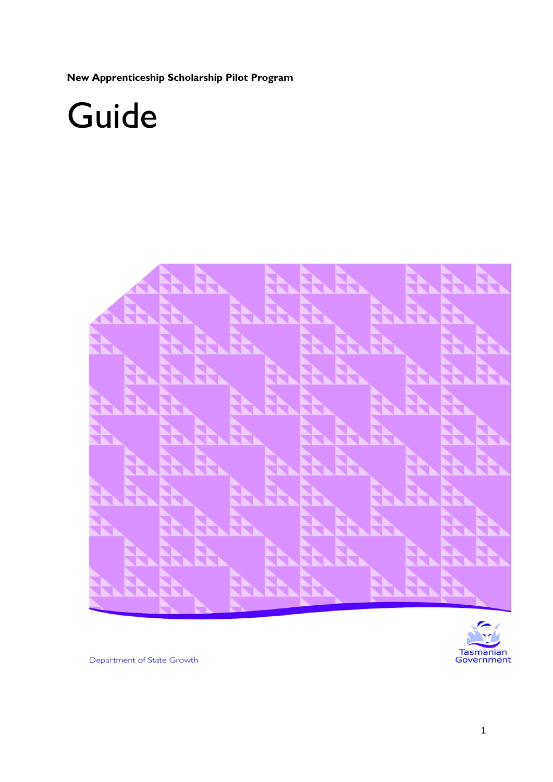**New Apprenticeship Scholarship Pilot Program**

# Guide





Department of State Growth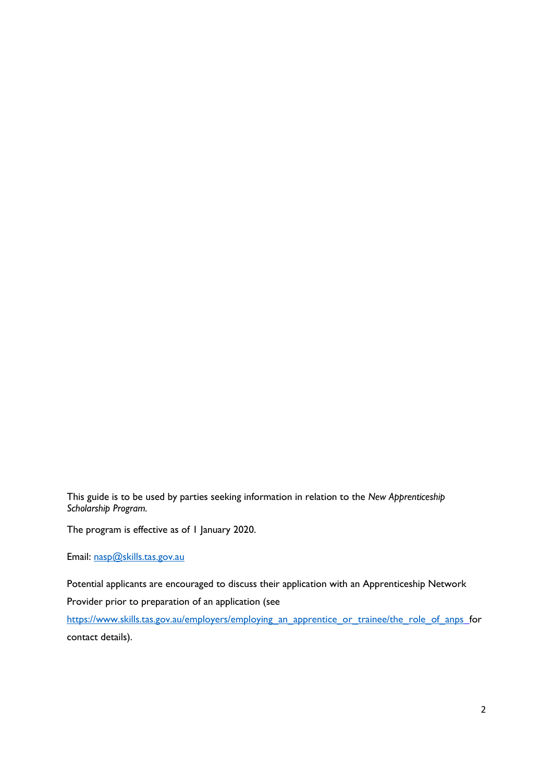This guide is to be used by parties seeking information in relation to the *New Apprenticeship Scholarship Program.*

The program is effective as of 1 January 2020.

Email: [nasp@skills.tas.gov.au](mailto:nasp@skills.tas.gov.au)

Potential applicants are encouraged to discuss their application with an Apprenticeship Network Provider prior to preparation of an application (see

[https://www.skills.tas.gov.au/employers/employing\\_an\\_apprentice\\_or\\_trainee/the\\_role\\_of\\_anps](https://www.skills.tas.gov.au/employers/employing_an_apprentice_or_trainee/the_role_of_anps) for contact details).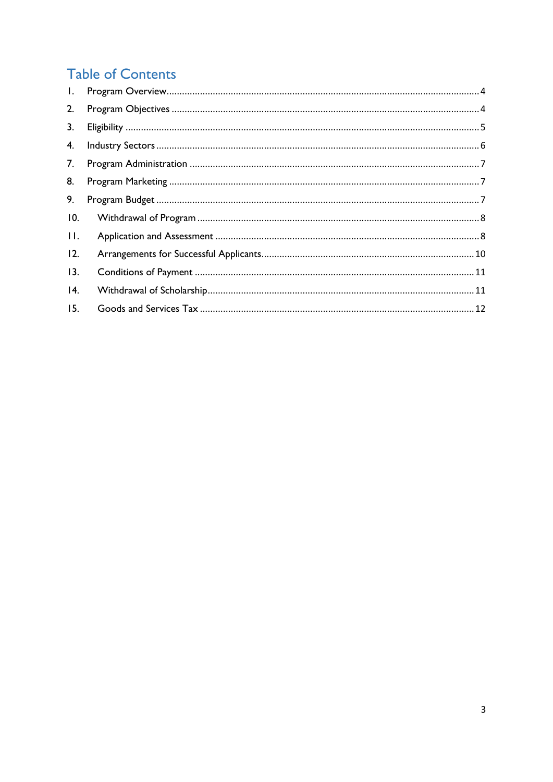## **Table of Contents**

| 2.      |  |
|---------|--|
| 3.      |  |
|         |  |
| 7.      |  |
| 8.      |  |
| 9.      |  |
| 10.     |  |
| $\Pi$ . |  |
| 12.     |  |
| 13.     |  |
| 4.      |  |
| 15.     |  |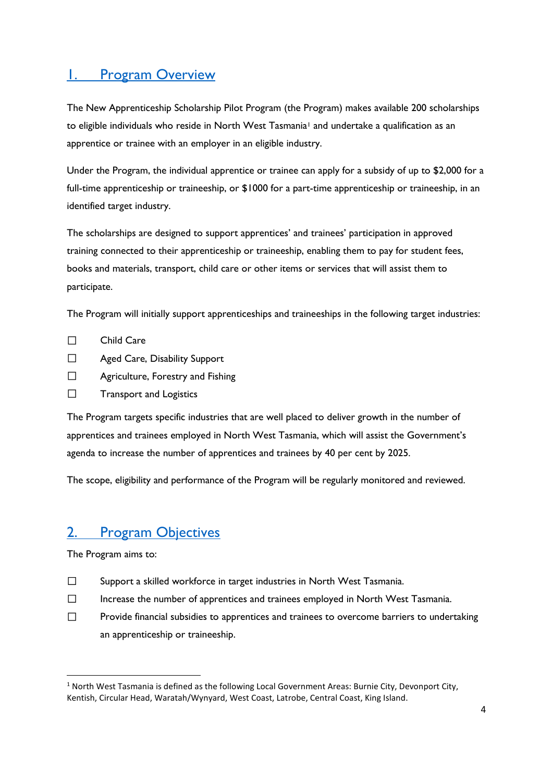#### <span id="page-3-0"></span>1. [Program Overview](#page-3-0)

The New Apprenticeship Scholarship Pilot Program (the Program) makes available 200 scholarships to eligible individuals who reside in North West Tasmania<sup>1</sup> and undertake a qualification as an apprentice or trainee with an employer in an eligible industry.

Under the Program, the individual apprentice or trainee can apply for a subsidy of up to \$2,000 for a full-time apprenticeship or traineeship, or \$1000 for a part-time apprenticeship or traineeship, in an identified target industry.

The scholarships are designed to support apprentices' and trainees' participation in approved training connected to their apprenticeship or traineeship, enabling them to pay for student fees, books and materials, transport, child care or other items or services that will assist them to participate.

The Program will initially support apprenticeships and traineeships in the following target industries:

- $\Box$ Child Care
- $\Box$ Aged Care, Disability Support
- $\Box$ Agriculture, Forestry and Fishing
- $\Box$ Transport and Logistics

The Program targets specific industries that are well placed to deliver growth in the number of apprentices and trainees employed in North West Tasmania, which will assist the Government's agenda to increase the number of apprentices and trainees by 40 per cent by 2025.

The scope, eligibility and performance of the Program will be regularly monitored and reviewed.

#### <span id="page-3-1"></span>2. [Program Objectives](#page-3-1)

The Program aims to:

1

- $\Box$ Support a skilled workforce in target industries in North West Tasmania.
- $\Box$ Increase the number of apprentices and trainees employed in North West Tasmania.
- $\Box$ Provide financial subsidies to apprentices and trainees to overcome barriers to undertaking an apprenticeship or traineeship.

 $1$  North West Tasmania is defined as the following Local Government Areas: Burnie City, Devonport City, Kentish, Circular Head, Waratah/Wynyard, West Coast, Latrobe, Central Coast, King Island.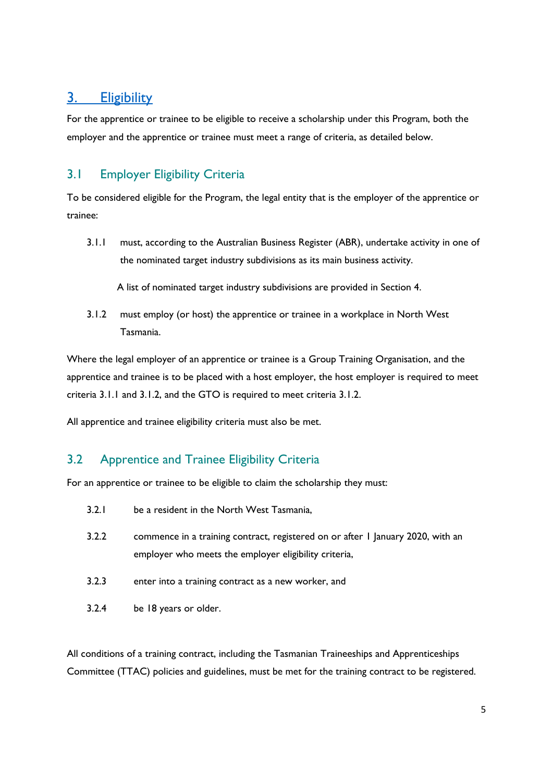## <span id="page-4-0"></span>3. [Eligibility](#page-4-0)

For the apprentice or trainee to be eligible to receive a scholarship under this Program, both the employer and the apprentice or trainee must meet a range of criteria, as detailed below.

#### 3.1 Employer Eligibility Criteria

To be considered eligible for the Program, the legal entity that is the employer of the apprentice or trainee:

3.1.1 must, according to the Australian Business Register (ABR), undertake activity in one of the nominated target industry subdivisions as its main business activity.

A list of nominated target industry subdivisions are provided in Section 4.

3.1.2 must employ (or host) the apprentice or trainee in a workplace in North West Tasmania.

Where the legal employer of an apprentice or trainee is a Group Training Organisation, and the apprentice and trainee is to be placed with a host employer, the host employer is required to meet criteria 3.1.1 and 3.1.2, and the GTO is required to meet criteria 3.1.2.

All apprentice and trainee eligibility criteria must also be met.

#### 3.2 Apprentice and Trainee Eligibility Criteria

For an apprentice or trainee to be eligible to claim the scholarship they must:

- 3.2.1 be a resident in the North West Tasmania,
- 3.2.2 commence in a training contract, registered on or after 1 January 2020, with an employer who meets the employer eligibility criteria,
- 3.2.3 enter into a training contract as a new worker, and
- 3.2.4 be 18 years or older.

All conditions of a training contract, including the Tasmanian Traineeships and Apprenticeships Committee (TTAC) policies and guidelines, must be met for the training contract to be registered.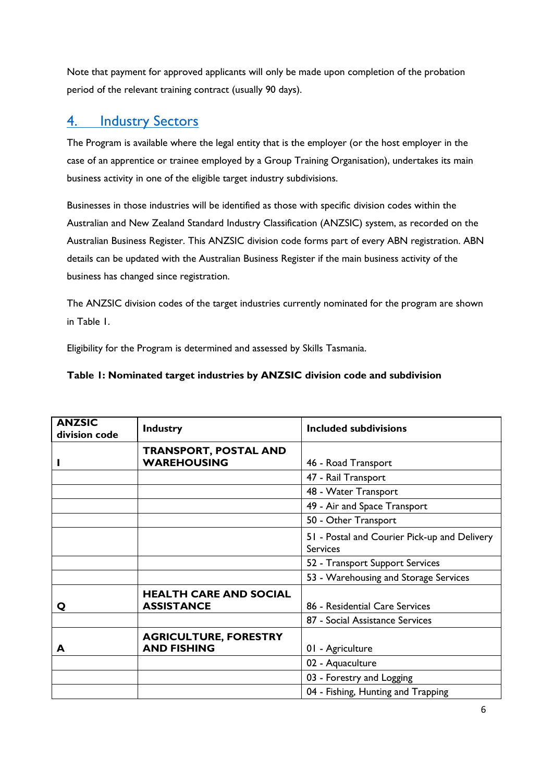Note that payment for approved applicants will only be made upon completion of the probation period of the relevant training contract (usually 90 days).

#### <span id="page-5-0"></span>4. [Industry Sectors](#page-5-0)

The Program is available where the legal entity that is the employer (or the host employer in the case of an apprentice or trainee employed by a Group Training Organisation), undertakes its main business activity in one of the eligible target industry subdivisions.

Businesses in those industries will be identified as those with specific division codes within the Australian and New Zealand Standard Industry Classification (ANZSIC) system, as recorded on the Australian Business Register. This ANZSIC division code forms part of every ABN registration. ABN details can be updated with the Australian Business Register if the main business activity of the business has changed since registration.

The ANZSIC division codes of the target industries currently nominated for the program are shown in Table 1.

Eligibility for the Program is determined and assessed by Skills Tasmania.

| Table 1: Nominated target industries by ANZSIC division code and subdivision |  |  |
|------------------------------------------------------------------------------|--|--|
|------------------------------------------------------------------------------|--|--|

| <b>ANZSIC</b><br>division code | <b>Industry</b>                                    | <b>Included subdivisions</b>                                    |  |
|--------------------------------|----------------------------------------------------|-----------------------------------------------------------------|--|
|                                | <b>TRANSPORT, POSTAL AND</b><br><b>WAREHOUSING</b> | 46 - Road Transport                                             |  |
|                                |                                                    | 47 - Rail Transport                                             |  |
|                                |                                                    | 48 - Water Transport                                            |  |
|                                |                                                    | 49 - Air and Space Transport                                    |  |
|                                |                                                    | 50 - Other Transport                                            |  |
|                                |                                                    | 51 - Postal and Courier Pick-up and Delivery<br><b>Services</b> |  |
|                                |                                                    | 52 - Transport Support Services                                 |  |
|                                |                                                    | 53 - Warehousing and Storage Services                           |  |
| Q                              | <b>HEALTH CARE AND SOCIAL</b><br><b>ASSISTANCE</b> | 86 - Residential Care Services                                  |  |
|                                |                                                    | 87 - Social Assistance Services                                 |  |
| А                              | <b>AGRICULTURE, FORESTRY</b><br><b>AND FISHING</b> | 01 - Agriculture                                                |  |
|                                |                                                    | 02 - Aquaculture                                                |  |
|                                |                                                    | 03 - Forestry and Logging                                       |  |
|                                |                                                    | 04 - Fishing, Hunting and Trapping                              |  |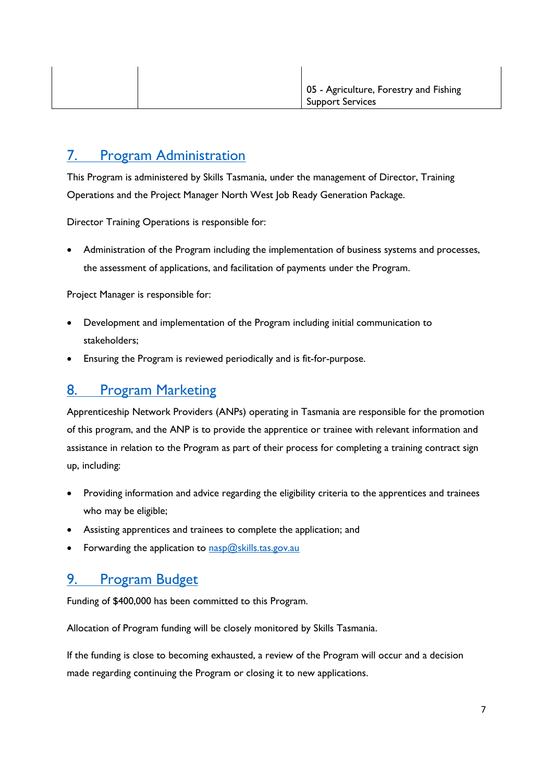#### <span id="page-6-0"></span>7. [Program Administration](#page-6-0)

This Program is administered by Skills Tasmania, under the management of Director, Training Operations and the Project Manager North West Job Ready Generation Package.

Director Training Operations is responsible for:

 Administration of the Program including the implementation of business systems and processes, the assessment of applications, and facilitation of payments under the Program.

Project Manager is responsible for:

- Development and implementation of the Program including initial communication to stakeholders;
- Ensuring the Program is reviewed periodically and is fit-for-purpose.

#### <span id="page-6-1"></span>8. [Program Marketing](#page-6-1)

Apprenticeship Network Providers (ANPs) operating in Tasmania are responsible for the promotion of this program, and the ANP is to provide the apprentice or trainee with relevant information and assistance in relation to the Program as part of their process for completing a training contract sign up, including:

- Providing information and advice regarding the eligibility criteria to the apprentices and trainees who may be eligible;
- Assisting apprentices and trainees to complete the application; and
- <span id="page-6-3"></span>Forwarding the application to  $n_{\text{asp}}(\omega)$ skills.tas.gov.au

#### <span id="page-6-2"></span>9. [Program Budget](#page-6-3)

Funding of \$400,000 has been committed to this Program.

Allocation of Program funding will be closely monitored by Skills Tasmania.

If the funding is close to becoming exhausted, a review of the Program will occur and a decision made regarding continuing the Program or closing it to new applications.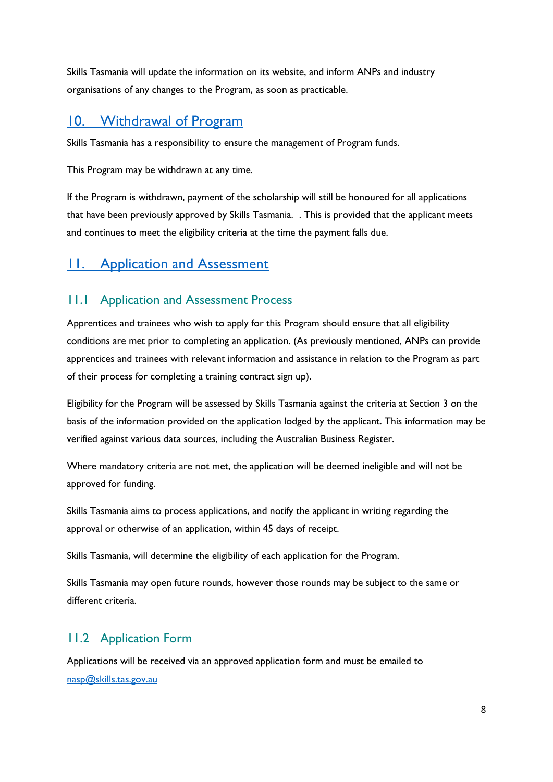Skills Tasmania will update the information on its website, and inform ANPs and industry organisations of any changes to the Program, as soon as practicable.

## <span id="page-7-0"></span>[10. Withdrawal of Program](#page-7-0)

Skills Tasmania has a responsibility to ensure the management of Program funds.

This Program may be withdrawn at any time.

If the Program is withdrawn, payment of the scholarship will still be honoured for all applications that have been previously approved by Skills Tasmania. . This is provided that the applicant meets and continues to meet the eligibility criteria at the time the payment falls due.

## <span id="page-7-1"></span>**11.** [Application and Assessment](#page-7-1)

#### 11.1 Application and Assessment Process

Apprentices and trainees who wish to apply for this Program should ensure that all eligibility conditions are met prior to completing an application. (As previously mentioned, ANPs can provide apprentices and trainees with relevant information and assistance in relation to the Program as part of their process for completing a training contract sign up).

Eligibility for the Program will be assessed by Skills Tasmania against the criteria at Section 3 on the basis of the information provided on the application lodged by the applicant. This information may be verified against various data sources, including the Australian Business Register.

Where mandatory criteria are not met, the application will be deemed ineligible and will not be approved for funding.

Skills Tasmania aims to process applications, and notify the applicant in writing regarding the approval or otherwise of an application, within 45 days of receipt.

Skills Tasmania, will determine the eligibility of each application for the Program.

Skills Tasmania may open future rounds, however those rounds may be subject to the same or different criteria.

#### 11.2 Application Form

Applications will be received via an approved application form and must be emailed to [nasp@skills.tas.gov.au](mailto:nasp@skills.tas.gov.au)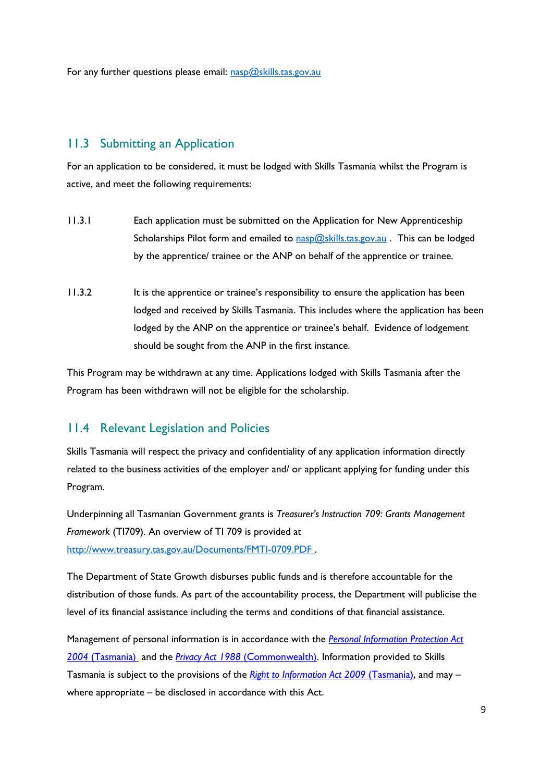For any further questions please email: [nasp@skills.tas.gov.au](mailto:nasp@skills.tas.gov.au)

#### 11.3 Submitting an Application

For an application to be considered, it must be lodged with Skills Tasmania whilst the Program is active, and meet the following requirements:

- 11.3.1 Each application must be submitted on the Application for New Apprenticeship Scholarships Pilot form and emailed to [nasp@skills.tas.gov.au](mailto:nasp@skills.tas.gov.au) . This can be lodged by the apprentice/ trainee or the ANP on behalf of the apprentice or trainee.
- 11.3.2 It is the apprentice or trainee's responsibility to ensure the application has been lodged and received by Skills Tasmania. This includes where the application has been lodged by the ANP on the apprentice or trainee's behalf. Evidence of lodgement should be sought from the ANP in the first instance.

This Program may be withdrawn at any time. Applications lodged with Skills Tasmania after the Program has been withdrawn will not be eligible for the scholarship.

#### 11.4 Relevant Legislation and Policies

Skills Tasmania will respect the privacy and confidentiality of any application information directly related to the business activities of the employer and/ or applicant applying for funding under this Program.

Underpinning all Tasmanian Government grants is *Treasurer's Instruction 709: Grants Management Framework* (TI709). An overview of TI 709 is provided at

<http://www.treasury.tas.gov.au/Documents/FMTI-0709.PDF> .

The Department of State Growth disburses public funds and is therefore accountable for the distribution of those funds. As part of the accountability process, the Department will publicise the level of its financial assistance including the terms and conditions of that financial assistance.

Management of personal information is in accordance with the *Personal Information Protection Act 2004* (Tasmania) and the *Privacy Act 1988* (Commonwealth). Information provided to Skills Tasmania is subject to the provisions of the *Right to Information Act 2009* (Tasmania), and may – where appropriate – be disclosed in accordance with this Act.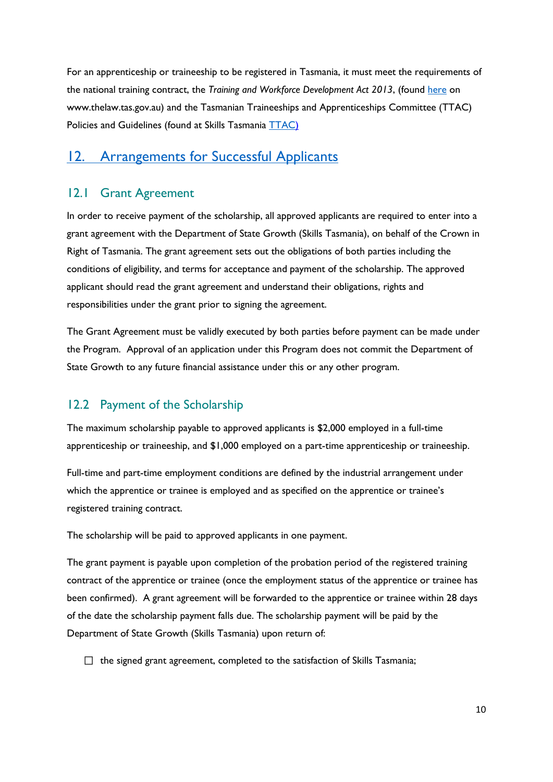For an apprenticeship or traineeship to be registered in Tasmania, it must meet the requirements of the national training contract, the *Training and Workforce Development Act 2013*, (found [here](https://www.legislation.tas.gov.au/view/html/inforce/current/act-2013-010) on www.thelaw.tas.gov.au) and the Tasmanian Traineeships and Apprenticeships Committee (TTAC) Policies and Guidelines (found at Skills Tasmania **TTAC**)

#### <span id="page-9-0"></span>12. [Arrangements for Successful Applicants](#page-9-0)

#### 12.1 Grant Agreement

In order to receive payment of the scholarship, all approved applicants are required to enter into a grant agreement with the Department of State Growth (Skills Tasmania), on behalf of the Crown in Right of Tasmania. The grant agreement sets out the obligations of both parties including the conditions of eligibility, and terms for acceptance and payment of the scholarship. The approved applicant should read the grant agreement and understand their obligations, rights and responsibilities under the grant prior to signing the agreement.

The Grant Agreement must be validly executed by both parties before payment can be made under the Program. Approval of an application under this Program does not commit the Department of State Growth to any future financial assistance under this or any other program.

#### 12.2 Payment of the Scholarship

The maximum scholarship payable to approved applicants is \$2,000 employed in a full-time apprenticeship or traineeship, and \$1,000 employed on a part-time apprenticeship or traineeship.

Full-time and part-time employment conditions are defined by the industrial arrangement under which the apprentice or trainee is employed and as specified on the apprentice or trainee's registered training contract.

The scholarship will be paid to approved applicants in one payment.

The grant payment is payable upon completion of the probation period of the registered training contract of the apprentice or trainee (once the employment status of the apprentice or trainee has been confirmed). A grant agreement will be forwarded to the apprentice or trainee within 28 days of the date the scholarship payment falls due. The scholarship payment will be paid by the Department of State Growth (Skills Tasmania) upon return of:

 $\Box$  the signed grant agreement, completed to the satisfaction of Skills Tasmania;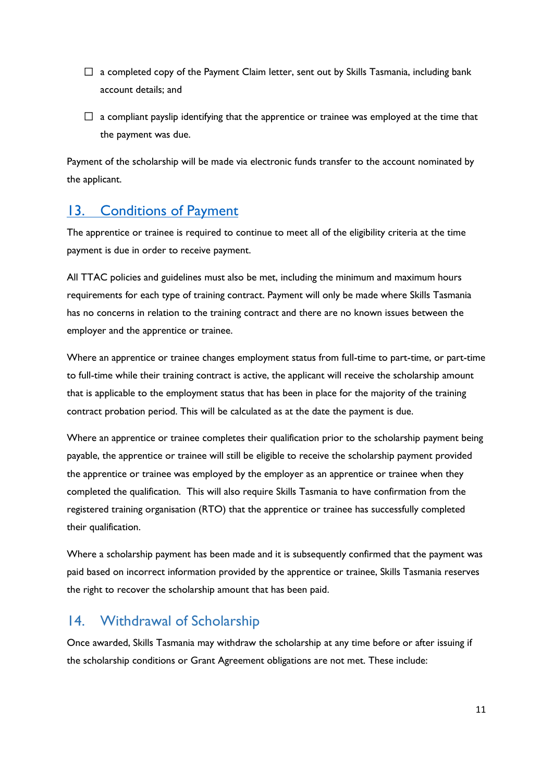- $\Box$  a completed copy of the Payment Claim letter, sent out by Skills Tasmania, including bank account details; and
- $\Box$  a compliant payslip identifying that the apprentice or trainee was employed at the time that the payment was due.

Payment of the scholarship will be made via electronic funds transfer to the account nominated by the applicant.

## <span id="page-10-0"></span>13. [Conditions of Payment](#page-10-0)

The apprentice or trainee is required to continue to meet all of the eligibility criteria at the time payment is due in order to receive payment.

All TTAC policies and guidelines must also be met, including the minimum and maximum hours requirements for each type of training contract. Payment will only be made where Skills Tasmania has no concerns in relation to the training contract and there are no known issues between the employer and the apprentice or trainee.

Where an apprentice or trainee changes employment status from full-time to part-time, or part-time to full-time while their training contract is active, the applicant will receive the scholarship amount that is applicable to the employment status that has been in place for the majority of the training contract probation period. This will be calculated as at the date the payment is due.

Where an apprentice or trainee completes their qualification prior to the scholarship payment being payable, the apprentice or trainee will still be eligible to receive the scholarship payment provided the apprentice or trainee was employed by the employer as an apprentice or trainee when they completed the qualification. This will also require Skills Tasmania to have confirmation from the registered training organisation (RTO) that the apprentice or trainee has successfully completed their qualification.

Where a scholarship payment has been made and it is subsequently confirmed that the payment was paid based on incorrect information provided by the apprentice or trainee, Skills Tasmania reserves the right to recover the scholarship amount that has been paid.

#### <span id="page-10-1"></span>14. Withdrawal of Scholarship

Once awarded, Skills Tasmania may withdraw the scholarship at any time before or after issuing if the scholarship conditions or Grant Agreement obligations are not met. These include: